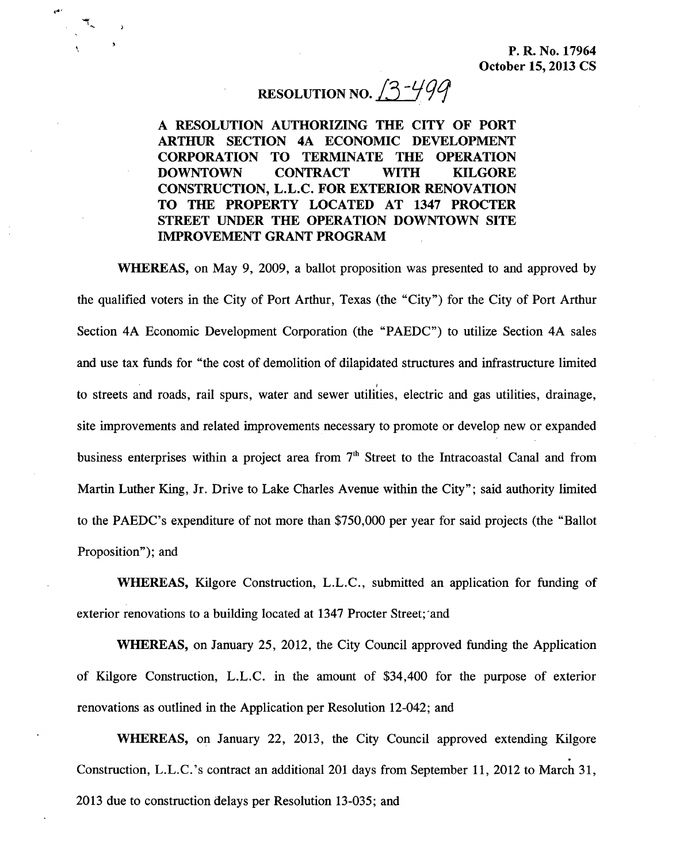## RESOLUTION NO.  $13 - 499$

A RESOLUTION AUTHORIZING THE CITY OF PORT ARTHUR SECTION 4A ECONOMIC DEVELOPMENT CORPORATION TO TERMINATE THE OPERATION DOWNTOWN CONTRACT WITH KILGORE CONSTRUCTION, L.L.C. FOR EXTERIOR RENOVATION TO THE PROPERTY LOCATED AT 1347 PROCTER STREET UNDER THE OPERATION DOWNTOWN SITE IMPROVEMENT GRANT PROGRAM

WHEREAS, on May 9, 2009, a ballot proposition was presented to and approved by the qualified voters in the City of Port Arthur, Texas (the "City") for the City of Port Arthur Section 4A Economic Development Corporation (the "PAEDC") to utilize Section 4A sales and use tax funds for "the cost of demolition of dilapidated structures and infrastructure limited to streets and roads, rail spurs, water and sewer utilities, electric and gas utilities, drainage, site improvements and related improvements necessary to promote or develop new or expanded business enterprises within a project area from 7<sup>th</sup> Street to the Intracoastal Canal and from<br>Martin Luther King, Jr. Drive to Lake Charles Avenue within the City"; said authority limited<br>to the PAEDC's expenditure of no Martin Luther King, Jr. Drive to Lake Charles Avenue within the City"; said authority limited Proposition"); and

WHEREAS, Kilgore Construction, L.L.C., submitted an application for funding of exterior renovations to a building located at 1347 Procter Street; and

WHEREAS, on January 25, 2012, the City Council approved funding the Application of Kilgore Construction, L.L.C. in the amount of \$34,400 for the purpose of exterior renovations as outlined in the Application per Resolution 12-042; and

WHEREAS, on January 22, 2013, the City Council approved extending Kilgore Construction, L.L.C.'s contract an additional 201 days from September 11, 2012 to March 31, 2013 due to construction delays per Resolution 13-035; and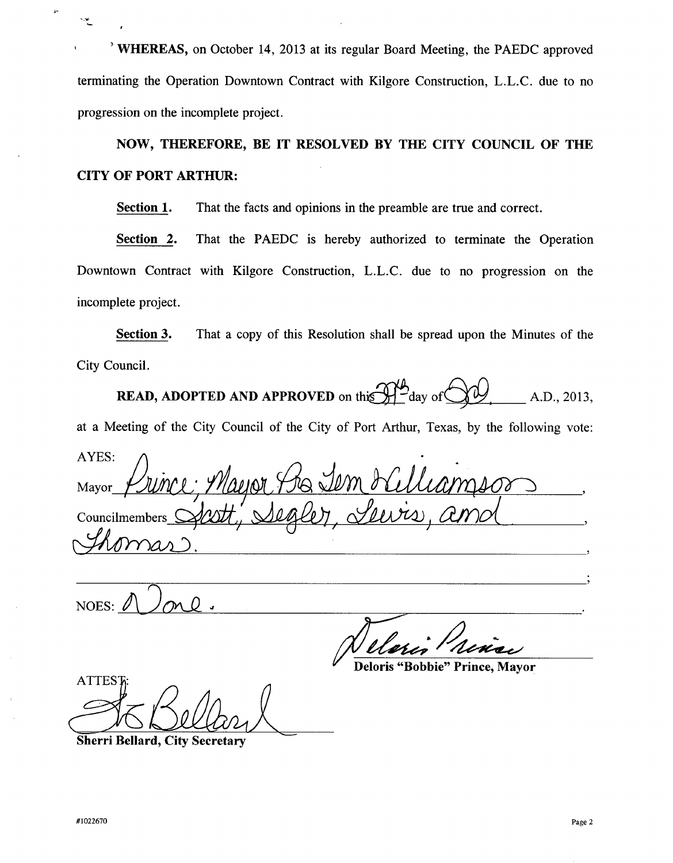WHEREAS, on October 14, 2013 at its regular Board Meeting, the PAEDC approved <sup>2</sup> WHEREAS, on October 14, 2013 at its regular Board Meeting, the PAEDC approved<br>terminating the Operation Downtown Contract with Kilgore Construction, L.L.C. due to no progression on the incomplete project

NOW, THEREFORE, BE IT RESOLVED BY THE CITY COUNCIL OF THE CITY OF PORT ARTHUR

Section 1. That the facts and opinions in the preamble are true and correct.

Section 2. That the PAEDC is hereby authorized to terminate the Operation Downtown Contract with Kilgore Construction, L.L.C. due to no progression on the incomplete project

Section 3. That a copy of this Resolution shall be spread upon the Minutes of the City Council

**READ, ADOPTED AND APPROVED** on this  $\mathcal{H}^{\mathcal{D}}$  day of  $\bigcirc \mathcal{W}$  A.D., 2013.

at a Meeting of the City Council of the City of Port Arthur, Texas, by the following vote

AYES: Mayor *Prince* incil<br>YOL<br>, S Ba 1em Councilmembers

NOES D

Minier<br>Prince, May

Deloris "Bobbie" Prince, Mayor

ATTEST Stor Bella

Sherri Bellard, City Secretary

J

y.